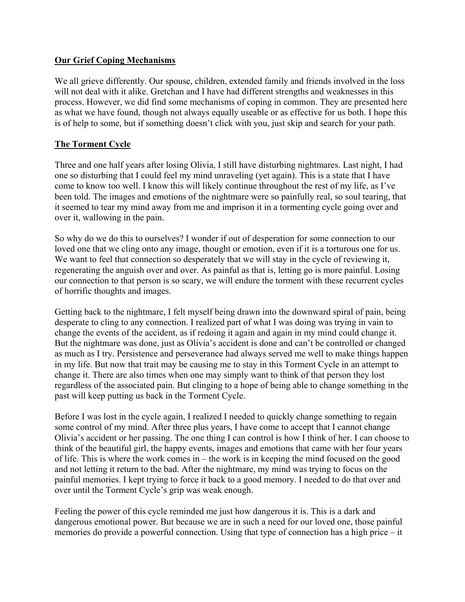### **Our Grief Coping Mechanisms**

We all grieve differently. Our spouse, children, extended family and friends involved in the loss will not deal with it alike. Gretchan and I have had different strengths and weaknesses in this process. However, we did find some mechanisms of coping in common. They are presented here as what we have found, though not always equally useable or as effective for us both. I hope this is of help to some, but if something doesn't click with you, just skip and search for your path.

### **The Torment Cycle**

Three and one half years after losing Olivia, I still have disturbing nightmares. Last night, I had one so disturbing that I could feel my mind unraveling (yet again). This is a state that I have come to know too well. I know this will likely continue throughout the rest of my life, as I've been told. The images and emotions of the nightmare were so painfully real, so soul tearing, that it seemed to tear my mind away from me and imprison it in a tormenting cycle going over and over it, wallowing in the pain.

So why do we do this to ourselves? I wonder if out of desperation for some connection to our loved one that we cling onto any image, thought or emotion, even if it is a torturous one for us. We want to feel that connection so desperately that we will stay in the cycle of reviewing it, regenerating the anguish over and over. As painful as that is, letting go is more painful. Losing our connection to that person is so scary, we will endure the torment with these recurrent cycles of horrific thoughts and images.

Getting back to the nightmare, I felt myself being drawn into the downward spiral of pain, being desperate to cling to any connection. I realized part of what I was doing was trying in vain to change the events of the accident, as if redoing it again and again in my mind could change it. But the nightmare was done, just as Olivia's accident is done and can't be controlled or changed as much as I try. Persistence and perseverance had always served me well to make things happen in my life. But now that trait may be causing me to stay in this Torment Cycle in an attempt to change it. There are also times when one may simply want to think of that person they lost regardless of the associated pain. But clinging to a hope of being able to change something in the past will keep putting us back in the Torment Cycle.

Before I was lost in the cycle again, I realized I needed to quickly change something to regain some control of my mind. After three plus years, I have come to accept that I cannot change Olivia's accident or her passing. The one thing I can control is how I think of her. I can choose to think of the beautiful girl, the happy events, images and emotions that came with her four years of life. This is where the work comes in – the work is in keeping the mind focused on the good and not letting it return to the bad. After the nightmare, my mind was trying to focus on the painful memories. I kept trying to force it back to a good memory. I needed to do that over and over until the Torment Cycle's grip was weak enough.

Feeling the power of this cycle reminded me just how dangerous it is. This is a dark and dangerous emotional power. But because we are in such a need for our loved one, those painful memories do provide a powerful connection. Using that type of connection has a high price – it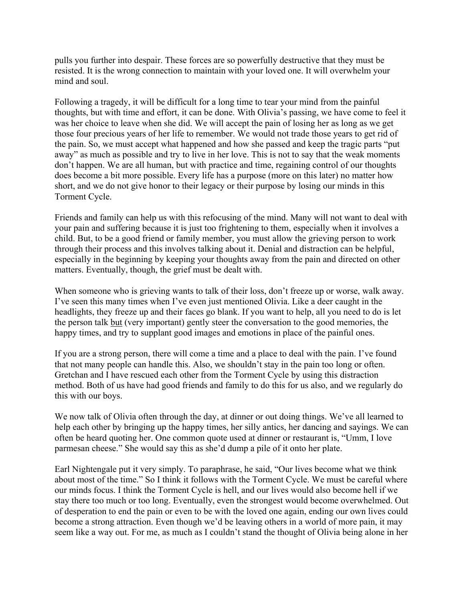pulls you further into despair. These forces are so powerfully destructive that they must be resisted. It is the wrong connection to maintain with your loved one. It will overwhelm your mind and soul.

Following a tragedy, it will be difficult for a long time to tear your mind from the painful thoughts, but with time and effort, it can be done. With Olivia's passing, we have come to feel it was her choice to leave when she did. We will accept the pain of losing her as long as we get those four precious years of her life to remember. We would not trade those years to get rid of the pain. So, we must accept what happened and how she passed and keep the tragic parts "put away" as much as possible and try to live in her love. This is not to say that the weak moments don't happen. We are all human, but with practice and time, regaining control of our thoughts does become a bit more possible. Every life has a purpose (more on this later) no matter how short, and we do not give honor to their legacy or their purpose by losing our minds in this Torment Cycle.

Friends and family can help us with this refocusing of the mind. Many will not want to deal with your pain and suffering because it is just too frightening to them, especially when it involves a child. But, to be a good friend or family member, you must allow the grieving person to work through their process and this involves talking about it. Denial and distraction can be helpful, especially in the beginning by keeping your thoughts away from the pain and directed on other matters. Eventually, though, the grief must be dealt with.

When someone who is grieving wants to talk of their loss, don't freeze up or worse, walk away. I've seen this many times when I've even just mentioned Olivia. Like a deer caught in the headlights, they freeze up and their faces go blank. If you want to help, all you need to do is let the person talk but (very important) gently steer the conversation to the good memories, the happy times, and try to supplant good images and emotions in place of the painful ones.

If you are a strong person, there will come a time and a place to deal with the pain. I've found that not many people can handle this. Also, we shouldn't stay in the pain too long or often. Gretchan and I have rescued each other from the Torment Cycle by using this distraction method. Both of us have had good friends and family to do this for us also, and we regularly do this with our boys.

We now talk of Olivia often through the day, at dinner or out doing things. We've all learned to help each other by bringing up the happy times, her silly antics, her dancing and sayings. We can often be heard quoting her. One common quote used at dinner or restaurant is, "Umm, I love parmesan cheese." She would say this as she'd dump a pile of it onto her plate.

Earl Nightengale put it very simply. To paraphrase, he said, "Our lives become what we think about most of the time." So I think it follows with the Torment Cycle. We must be careful where our minds focus. I think the Torment Cycle is hell, and our lives would also become hell if we stay there too much or too long. Eventually, even the strongest would become overwhelmed. Out of desperation to end the pain or even to be with the loved one again, ending our own lives could become a strong attraction. Even though we'd be leaving others in a world of more pain, it may seem like a way out. For me, as much as I couldn't stand the thought of Olivia being alone in her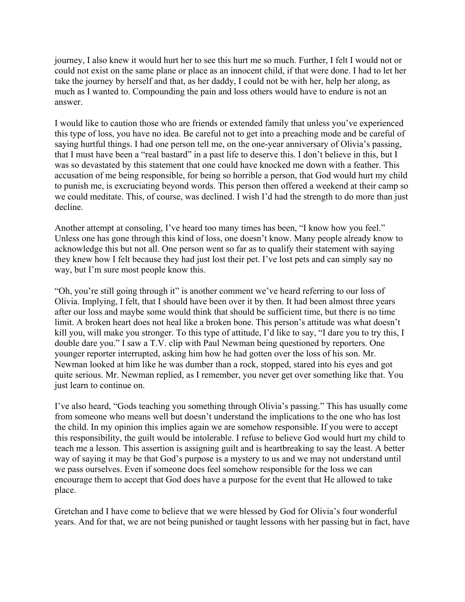journey, I also knew it would hurt her to see this hurt me so much. Further, I felt I would not or could not exist on the same plane or place as an innocent child, if that were done. I had to let her take the journey by herself and that, as her daddy, I could not be with her, help her along, as much as I wanted to. Compounding the pain and loss others would have to endure is not an answer.

I would like to caution those who are friends or extended family that unless you've experienced this type of loss, you have no idea. Be careful not to get into a preaching mode and be careful of saying hurtful things. I had one person tell me, on the one-year anniversary of Olivia's passing, that I must have been a "real bastard" in a past life to deserve this. I don't believe in this, but I was so devastated by this statement that one could have knocked me down with a feather. This accusation of me being responsible, for being so horrible a person, that God would hurt my child to punish me, is excruciating beyond words. This person then offered a weekend at their camp so we could meditate. This, of course, was declined. I wish I'd had the strength to do more than just decline.

Another attempt at consoling, I've heard too many times has been, "I know how you feel." Unless one has gone through this kind of loss, one doesn't know. Many people already know to acknowledge this but not all. One person went so far as to qualify their statement with saying they knew how I felt because they had just lost their pet. I've lost pets and can simply say no way, but I'm sure most people know this.

"Oh, you're still going through it" is another comment we've heard referring to our loss of Olivia. Implying, I felt, that I should have been over it by then. It had been almost three years after our loss and maybe some would think that should be sufficient time, but there is no time limit. A broken heart does not heal like a broken bone. This person's attitude was what doesn't kill you, will make you stronger. To this type of attitude, I'd like to say, "I dare you to try this, I double dare you." I saw a T.V. clip with Paul Newman being questioned by reporters. One younger reporter interrupted, asking him how he had gotten over the loss of his son. Mr. Newman looked at him like he was dumber than a rock, stopped, stared into his eyes and got quite serious. Mr. Newman replied, as I remember, you never get over something like that. You just learn to continue on.

I've also heard, "Gods teaching you something through Olivia's passing." This has usually come from someone who means well but doesn't understand the implications to the one who has lost the child. In my opinion this implies again we are somehow responsible. If you were to accept this responsibility, the guilt would be intolerable. I refuse to believe God would hurt my child to teach me a lesson. This assertion is assigning guilt and is heartbreaking to say the least. A better way of saying it may be that God's purpose is a mystery to us and we may not understand until we pass ourselves. Even if someone does feel somehow responsible for the loss we can encourage them to accept that God does have a purpose for the event that He allowed to take place.

Gretchan and I have come to believe that we were blessed by God for Olivia's four wonderful years. And for that, we are not being punished or taught lessons with her passing but in fact, have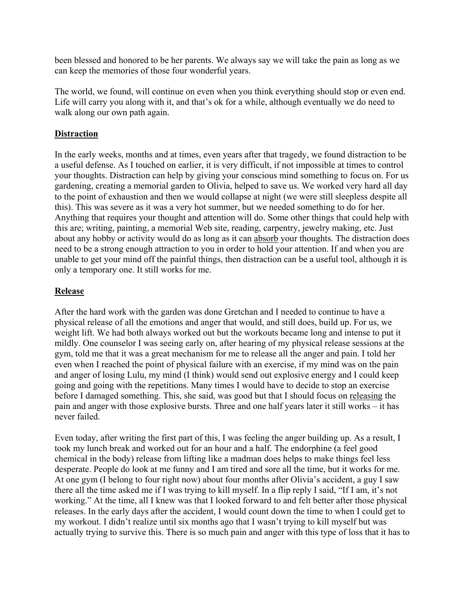been blessed and honored to be her parents. We always say we will take the pain as long as we can keep the memories of those four wonderful years.

The world, we found, will continue on even when you think everything should stop or even end. Life will carry you along with it, and that's ok for a while, although eventually we do need to walk along our own path again.

## **Distraction**

In the early weeks, months and at times, even years after that tragedy, we found distraction to be a useful defense. As I touched on earlier, it is very difficult, if not impossible at times to control your thoughts. Distraction can help by giving your conscious mind something to focus on. For us gardening, creating a memorial garden to Olivia, helped to save us. We worked very hard all day to the point of exhaustion and then we would collapse at night (we were still sleepless despite all this). This was severe as it was a very hot summer, but we needed something to do for her. Anything that requires your thought and attention will do. Some other things that could help with this are; writing, painting, a memorial Web site, reading, carpentry, jewelry making, etc. Just about any hobby or activity would do as long as it can absorb your thoughts. The distraction does need to be a strong enough attraction to you in order to hold your attention. If and when you are unable to get your mind off the painful things, then distraction can be a useful tool, although it is only a temporary one. It still works for me.

# **Release**

After the hard work with the garden was done Gretchan and I needed to continue to have a physical release of all the emotions and anger that would, and still does, build up. For us, we weight lift. We had both always worked out but the workouts became long and intense to put it mildly. One counselor I was seeing early on, after hearing of my physical release sessions at the gym, told me that it was a great mechanism for me to release all the anger and pain. I told her even when I reached the point of physical failure with an exercise, if my mind was on the pain and anger of losing Lulu, my mind (I think) would send out explosive energy and I could keep going and going with the repetitions. Many times I would have to decide to stop an exercise before I damaged something. This, she said, was good but that I should focus on releasing the pain and anger with those explosive bursts. Three and one half years later it still works – it has never failed.

Even today, after writing the first part of this, I was feeling the anger building up. As a result, I took my lunch break and worked out for an hour and a half. The endorphine (a feel good chemical in the body) release from lifting like a madman does helps to make things feel less desperate. People do look at me funny and I am tired and sore all the time, but it works for me. At one gym (I belong to four right now) about four months after Olivia's accident, a guy I saw there all the time asked me if I was trying to kill myself. In a flip reply I said, "If I am, it's not working." At the time, all I knew was that I looked forward to and felt better after those physical releases. In the early days after the accident, I would count down the time to when I could get to my workout. I didn't realize until six months ago that I wasn't trying to kill myself but was actually trying to survive this. There is so much pain and anger with this type of loss that it has to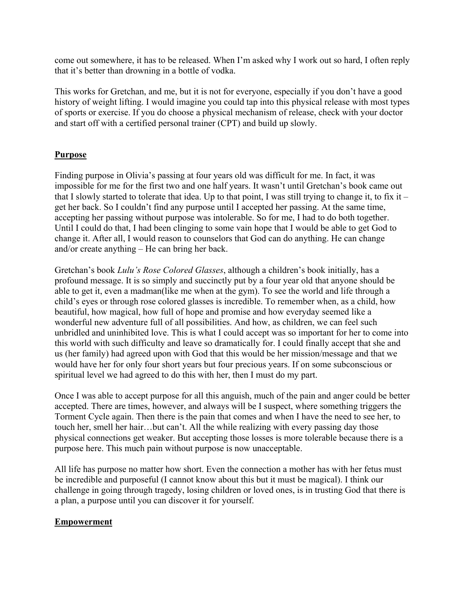come out somewhere, it has to be released. When I'm asked why I work out so hard, I often reply that it's better than drowning in a bottle of vodka.

This works for Gretchan, and me, but it is not for everyone, especially if you don't have a good history of weight lifting. I would imagine you could tap into this physical release with most types of sports or exercise. If you do choose a physical mechanism of release, check with your doctor and start off with a certified personal trainer (CPT) and build up slowly.

# **Purpose**

Finding purpose in Olivia's passing at four years old was difficult for me. In fact, it was impossible for me for the first two and one half years. It wasn't until Gretchan's book came out that I slowly started to tolerate that idea. Up to that point, I was still trying to change it, to fix it – get her back. So I couldn't find any purpose until I accepted her passing. At the same time, accepting her passing without purpose was intolerable. So for me, I had to do both together. Until I could do that, I had been clinging to some vain hope that I would be able to get God to change it. After all, I would reason to counselors that God can do anything. He can change and/or create anything – He can bring her back.

Gretchan's book *Lulu's Rose Colored Glasses*, although a children's book initially, has a profound message. It is so simply and succinctly put by a four year old that anyone should be able to get it, even a madman(like me when at the gym). To see the world and life through a child's eyes or through rose colored glasses is incredible. To remember when, as a child, how beautiful, how magical, how full of hope and promise and how everyday seemed like a wonderful new adventure full of all possibilities. And how, as children, we can feel such unbridled and uninhibited love. This is what I could accept was so important for her to come into this world with such difficulty and leave so dramatically for. I could finally accept that she and us (her family) had agreed upon with God that this would be her mission/message and that we would have her for only four short years but four precious years. If on some subconscious or spiritual level we had agreed to do this with her, then I must do my part.

Once I was able to accept purpose for all this anguish, much of the pain and anger could be better accepted. There are times, however, and always will be I suspect, where something triggers the Torment Cycle again. Then there is the pain that comes and when I have the need to see her, to touch her, smell her hair…but can't. All the while realizing with every passing day those physical connections get weaker. But accepting those losses is more tolerable because there is a purpose here. This much pain without purpose is now unacceptable.

All life has purpose no matter how short. Even the connection a mother has with her fetus must be incredible and purposeful (I cannot know about this but it must be magical). I think our challenge in going through tragedy, losing children or loved ones, is in trusting God that there is a plan, a purpose until you can discover it for yourself.

## **Empowerment**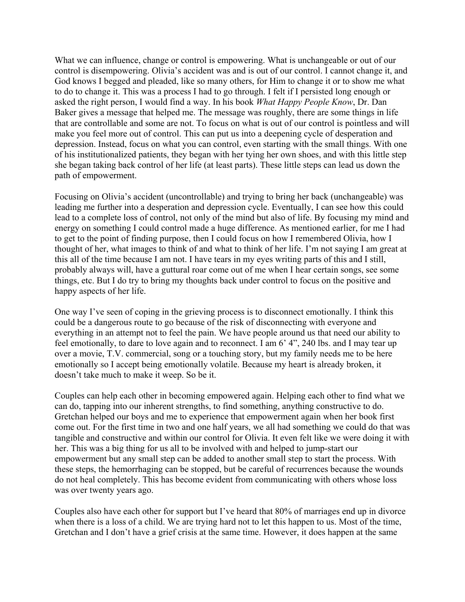What we can influence, change or control is empowering. What is unchangeable or out of our control is disempowering. Olivia's accident was and is out of our control. I cannot change it, and God knows I begged and pleaded, like so many others, for Him to change it or to show me what to do to change it. This was a process I had to go through. I felt if I persisted long enough or asked the right person, I would find a way. In his book *What Happy People Know*, Dr. Dan Baker gives a message that helped me. The message was roughly, there are some things in life that are controllable and some are not. To focus on what is out of our control is pointless and will make you feel more out of control. This can put us into a deepening cycle of desperation and depression. Instead, focus on what you can control, even starting with the small things. With one of his institutionalized patients, they began with her tying her own shoes, and with this little step she began taking back control of her life (at least parts). These little steps can lead us down the path of empowerment.

Focusing on Olivia's accident (uncontrollable) and trying to bring her back (unchangeable) was leading me further into a desperation and depression cycle. Eventually, I can see how this could lead to a complete loss of control, not only of the mind but also of life. By focusing my mind and energy on something I could control made a huge difference. As mentioned earlier, for me I had to get to the point of finding purpose, then I could focus on how I remembered Olivia, how I thought of her, what images to think of and what to think of her life. I'm not saying I am great at this all of the time because I am not. I have tears in my eyes writing parts of this and I still, probably always will, have a guttural roar come out of me when I hear certain songs, see some things, etc. But I do try to bring my thoughts back under control to focus on the positive and happy aspects of her life.

One way I've seen of coping in the grieving process is to disconnect emotionally. I think this could be a dangerous route to go because of the risk of disconnecting with everyone and everything in an attempt not to feel the pain. We have people around us that need our ability to feel emotionally, to dare to love again and to reconnect. I am 6' 4", 240 lbs. and I may tear up over a movie, T.V. commercial, song or a touching story, but my family needs me to be here emotionally so I accept being emotionally volatile. Because my heart is already broken, it doesn't take much to make it weep. So be it.

Couples can help each other in becoming empowered again. Helping each other to find what we can do, tapping into our inherent strengths, to find something, anything constructive to do. Gretchan helped our boys and me to experience that empowerment again when her book first come out. For the first time in two and one half years, we all had something we could do that was tangible and constructive and within our control for Olivia. It even felt like we were doing it with her. This was a big thing for us all to be involved with and helped to jump-start our empowerment but any small step can be added to another small step to start the process. With these steps, the hemorrhaging can be stopped, but be careful of recurrences because the wounds do not heal completely. This has become evident from communicating with others whose loss was over twenty years ago.

Couples also have each other for support but I've heard that 80% of marriages end up in divorce when there is a loss of a child. We are trying hard not to let this happen to us. Most of the time, Gretchan and I don't have a grief crisis at the same time. However, it does happen at the same